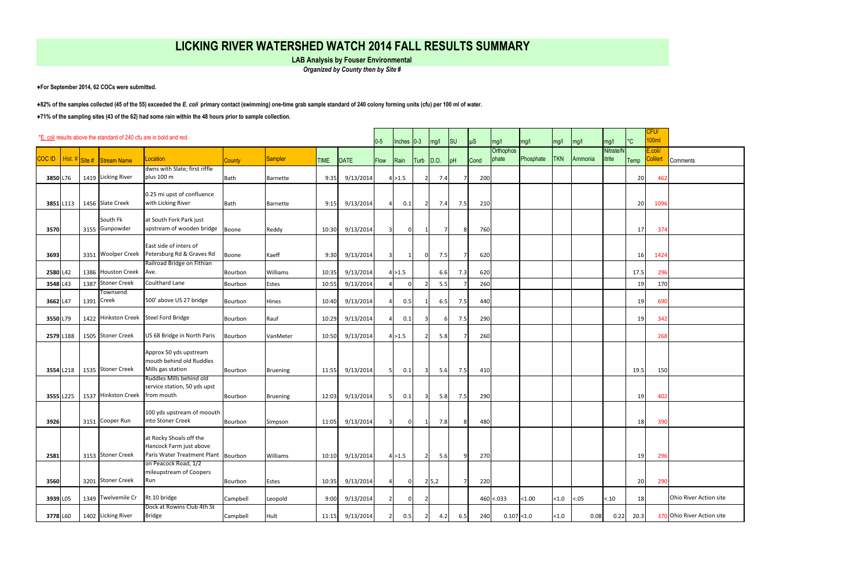| *E. coli results above the standard of 240 cfu are in bold and red.<br>$0-5$ |  |      |                                   |                                                    |             |                 |             |                 |                |          | Inches $0-3$   | mg/l         | $\vert$ SU     | $\mu$ S | mg/l                      | mg/l      | mg/l       | mg/l    | mg/l                | °C        | FUV<br>100ml                     |                            |
|------------------------------------------------------------------------------|--|------|-----------------------------------|----------------------------------------------------|-------------|-----------------|-------------|-----------------|----------------|----------|----------------|--------------|----------------|---------|---------------------------|-----------|------------|---------|---------------------|-----------|----------------------------------|----------------------------|
|                                                                              |  |      | COC ID Hist. # Site # Stream Name | Location                                           | County      | <b>Sampler</b>  | <b>TIME</b> | DATE            |                |          |                |              |                | Cond    | <b>Orthophos</b><br>phate | Phosphate | <b>TKN</b> | Ammonia | Nitrate/N<br>itrite |           | $\frac{1}{2}$ .coli/<br>Colilert |                            |
|                                                                              |  |      |                                   | dwns with Slate; first riffle                      |             |                 |             |                 | Flow           | Rain     | Turb           | $\vert$ D.O. | pH             |         |                           |           |            |         |                     | Temp      |                                  | <b>Comments</b>            |
| 3850 L76                                                                     |  |      | 1419 Licking River                | plus 100 m                                         | <b>Bath</b> | Barnette        | 9:35        | 9/13/2014       |                | 4 > 1.5  | $\overline{2}$ | 7.4          |                | 200     |                           |           |            |         |                     | 20        | 462                              |                            |
|                                                                              |  |      |                                   |                                                    |             |                 |             |                 |                |          |                |              |                |         |                           |           |            |         |                     |           |                                  |                            |
| 3851 L113                                                                    |  |      | 1456 Slate Creek                  | 0.25 mi upst of confluence<br>with Licking River   | Bath        | Barnette        | 9:15        | 9/13/2014       |                | 0.1      | 2              | 7.4          | 7.5            | 210     |                           |           |            |         |                     | 20        | 1096                             |                            |
|                                                                              |  |      |                                   |                                                    |             |                 |             |                 |                |          |                |              |                |         |                           |           |            |         |                     |           |                                  |                            |
|                                                                              |  |      | South Fk                          | at South Fork Park just                            |             |                 |             |                 |                |          |                |              |                |         |                           |           |            |         |                     |           |                                  |                            |
| 3570                                                                         |  |      | 3155 Gunpowder                    | upstream of wooden bridge                          | Boone       | Reddy           | 10:30       | 9/13/2014       |                | $\Omega$ |                | 7            | 8              | 760     |                           |           |            |         |                     | 17        | 374                              |                            |
|                                                                              |  |      |                                   | East side of inters of                             |             |                 |             |                 |                |          |                |              |                |         |                           |           |            |         |                     |           |                                  |                            |
| 3693                                                                         |  |      |                                   | 3351 Woolper Creek Petersburg Rd & Graves Rd       | Boone       | Kaeff           | 9:30        | 9/13/2014       | 3              |          | 0              | 7.5          | $\overline{7}$ | 620     |                           |           |            |         |                     | <b>16</b> | 1424                             |                            |
|                                                                              |  |      |                                   | Railroad Bridge on Fithian                         |             |                 |             |                 |                |          |                |              |                |         |                           |           |            |         |                     |           |                                  |                            |
| 2580 L42                                                                     |  |      | 1386 Houston Creek Ave.           |                                                    | Bourbon     | Williams        | 10:35       | 9/13/2014       |                | 4 > 1.5  |                | 6.6          | 7.3            | 620     |                           |           |            |         |                     | 17.5      | 296                              |                            |
| 3548 L43                                                                     |  |      | 1387 Stoner Creek                 | Coulthard Lane                                     | Bourbon     | Estes           | 10:55       | 9/13/2014       |                |          |                | 5.5          |                | 260     |                           |           |            |         |                     | 19        | 170                              |                            |
| 3662 L47                                                                     |  | 1391 | Townsend<br>Creek                 | 500' above US 27 bridge                            | Bourbon     | Hines           | 10:40       | 9/13/2014       |                | 0.5      |                | 6.5          | 7.5            | 440     |                           |           |            |         |                     | 19        | 690                              |                            |
|                                                                              |  |      |                                   |                                                    |             |                 |             |                 |                |          |                |              |                |         |                           |           |            |         |                     |           |                                  |                            |
| 3550L79                                                                      |  |      |                                   | 1422 Hinkston Creek Steel Ford Bridge              | Bourbon     | Rauf            | 10:29       | 9/13/2014       |                | 0.1      | 3              | -61          | 7.5            | 290     |                           |           |            |         |                     | 19        | 342                              |                            |
| 2579 L188                                                                    |  |      | 1505 Stoner Creek                 | US 68 Bridge in North Paris                        |             | VanMeter        |             |                 |                | 4 > 1.5  |                | 5.8          |                | 260     |                           |           |            |         |                     |           | 268                              |                            |
|                                                                              |  |      |                                   |                                                    | Bourbon     |                 | 10:50       | 9/13/2014       |                |          |                |              |                |         |                           |           |            |         |                     |           |                                  |                            |
|                                                                              |  |      |                                   | Approx 50 yds upstream                             |             |                 |             |                 |                |          |                |              |                |         |                           |           |            |         |                     |           |                                  |                            |
|                                                                              |  |      |                                   | mouth behind old Ruddles                           |             |                 |             |                 |                |          |                |              |                |         |                           |           |            |         |                     |           |                                  |                            |
| 3554 L218                                                                    |  |      | 1535 Stoner Creek                 | Mills gas station<br>Ruddles Mills behind old      | Bourbon     | <b>Bruening</b> | 11:55       | 9/13/2014       | 51             | 0.1      | $\lceil$       | 5.6          | 7.5            | 410     |                           |           |            |         |                     | 19.5      | 150                              |                            |
|                                                                              |  |      |                                   | service station, 50 yds upst                       |             |                 |             |                 |                |          |                |              |                |         |                           |           |            |         |                     |           |                                  |                            |
| 3555 L225                                                                    |  |      | 1537 Hinkston Creek   from mouth  |                                                    | Bourbon     | <b>Bruening</b> | 12:03       | 9/13/2014       |                | 0.1      | $\lceil$       | 5.8          | 7.5            | 290     |                           |           |            |         |                     | 19        | 402                              |                            |
|                                                                              |  |      |                                   | 100 yds upstream of moouth                         |             |                 |             |                 |                |          |                |              |                |         |                           |           |            |         |                     |           |                                  |                            |
| 3926                                                                         |  |      | 3151 Cooper Run                   | into Stoner Creek                                  | Bourbon     | Simpson         | 11:05       | 9/13/2014       | $\overline{3}$ | $\Omega$ | -1             | 7.8          | 8              | 480     |                           |           |            |         |                     | 18        | 390                              |                            |
|                                                                              |  |      |                                   |                                                    |             |                 |             |                 |                |          |                |              |                |         |                           |           |            |         |                     |           |                                  |                            |
|                                                                              |  |      |                                   | at Rocky Shoals off the<br>Hancock Farm just above |             |                 |             |                 |                |          |                |              |                |         |                           |           |            |         |                     |           |                                  |                            |
| 2581                                                                         |  |      | 3153 Stoner Creek                 | Paris Water Treatment Plant Bourbon                |             | Williams        | 10:10       | 9/13/2014       |                | 4 > 1.5  | $\overline{2}$ | 5.6          | q              | 270     |                           |           |            |         |                     | 19        | 296                              |                            |
|                                                                              |  |      |                                   | on Peacock Road, 1/2                               |             |                 |             |                 |                |          |                |              |                |         |                           |           |            |         |                     |           |                                  |                            |
|                                                                              |  |      |                                   | mileupstream of Coopers                            |             |                 |             |                 |                |          |                |              |                |         |                           |           |            |         |                     |           |                                  |                            |
| 3560                                                                         |  |      | 3201 Stoner Creek                 | Run                                                | Bourbon     | Estes           | 10:35       | 9/13/2014       |                | $\Omega$ |                | 2 5,2        | 7              | 220     |                           |           |            |         |                     | 20        | 290                              |                            |
| 3939 L05                                                                     |  |      | 1349 Twelvemile Cr                | Rt.10 bridge                                       | Campbell    | Leopold         | 9:00        | 9/13/2014       |                | n        | 2              |              |                |         | $460$ < 033               | < 1.00    | < 1.0      | < .05   | < .10               | 18        |                                  | Ohio River Action site     |
|                                                                              |  |      |                                   | Dock at Rowins Club 4th St                         |             |                 |             |                 |                |          |                |              |                |         |                           |           |            |         |                     |           |                                  |                            |
| 3778 L60                                                                     |  |      | 1402 Licking River                | <b>Bridge</b>                                      | Campbell    | Hult            |             | 11:15 9/13/2014 |                | 0.5      | $\overline{z}$ | 4.2          | 6.5            | 240     | 0.107 < 1.0               |           | < 1.0      | 0.08    | 0.22                | 20.3      |                                  | 370 Ohio River Action site |

## **LICKING RIVER WATERSHED WATCH 2014 FALL RESULTS SUMMARY**

**LAB Analysis by Fouser Environmental** 

**♦For September 2014, 62 COCs were submitted.** 

**♦82% of the samples collected (45 of the 55) exceeded the** *E. coli* **primary contact (swimming) one-time grab sample standard of 240 colony forming units (cfu) per 100 ml of water.**

**♦71% of the sampling sites (43 of the 62) had some rain within the 48 hours prior to sample collection.** 

*Organized by County then by Site #*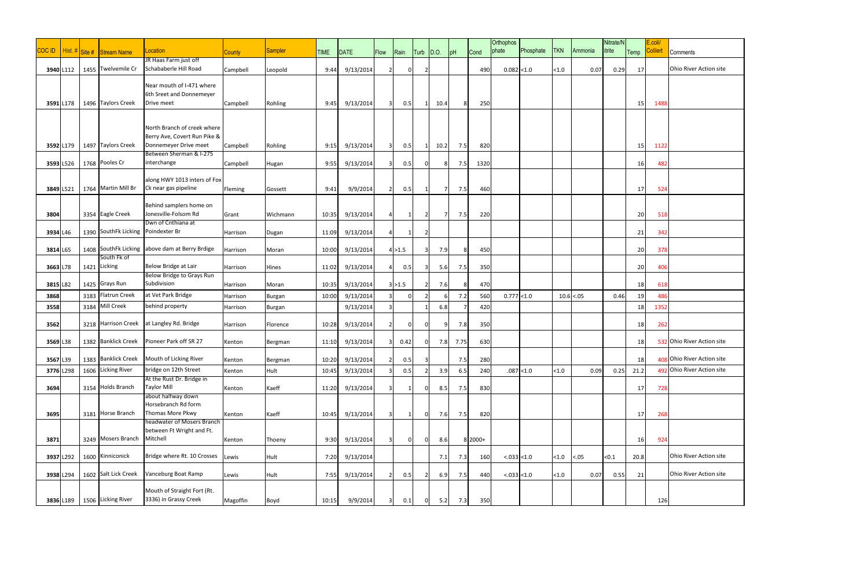|              |                      |      |                                    |                                                       |               |                |             |           |                |         |               |      |      |           | <b>Orthophos</b> |            |            |              | Nitrate/N |           | E.coli/         |                            |
|--------------|----------------------|------|------------------------------------|-------------------------------------------------------|---------------|----------------|-------------|-----------|----------------|---------|---------------|------|------|-----------|------------------|------------|------------|--------------|-----------|-----------|-----------------|----------------------------|
| <b>COCID</b> | Hist. $\#$ Site $\#$ |      | Stream Name                        | Location                                              | <b>County</b> | <b>Sampler</b> | <b>TIME</b> | DATE      | Flow           | Rain    | Turb          | D.O. | pH   | Cond      | phate            | Phosphate  | <b>TKN</b> | Ammonia      | itrite    | Temp      | <b>Colilert</b> | Comments                   |
|              |                      |      |                                    | JR Haas Farm just off                                 |               |                |             |           |                |         |               |      |      |           |                  |            |            |              |           |           |                 |                            |
| 3940 L112    |                      |      | 1455 Twelvemile Cr                 | Schababerle Hill Road                                 | Campbell      | Leopold        | 9:44        | 9/13/2014 | 21             |         |               |      |      | 490       | 0.082 < 1.0      |            | < 1.0      | 0.07         | 0.29      | 17        |                 | Ohio River Action site     |
|              |                      |      |                                    |                                                       |               |                |             |           |                |         |               |      |      |           |                  |            |            |              |           |           |                 |                            |
|              |                      |      |                                    | Near mouth of I-471 where<br>6th Sreet and Donnemeyer |               |                |             |           |                |         |               |      |      |           |                  |            |            |              |           |           |                 |                            |
|              |                      |      | 1496 Taylors Creek                 | Drive meet                                            |               |                | 9:45        | 9/13/2014 |                | 0.5     |               |      | 8    |           |                  |            |            |              |           |           |                 |                            |
| 3591 L178    |                      |      |                                    |                                                       | Campbell      | Rohling        |             |           | 3 <sup>1</sup> |         |               | 10.4 |      | 250       |                  |            |            |              |           | 15        | 1488            |                            |
|              |                      |      |                                    |                                                       |               |                |             |           |                |         |               |      |      |           |                  |            |            |              |           |           |                 |                            |
|              |                      |      |                                    | North Branch of creek where                           |               |                |             |           |                |         |               |      |      |           |                  |            |            |              |           |           |                 |                            |
|              |                      |      |                                    | Berry Ave, Covert Run Pike &                          |               |                |             |           |                |         |               |      |      |           |                  |            |            |              |           |           |                 |                            |
| 3592 L179    |                      |      | 1497 Taylors Creek                 | Donnemeyer Drive meet                                 | Campbell      | Rohling        | 9:15        | 9/13/2014 | 3              | 0.5     | 1             | 10.2 | 7.5  | 820       |                  |            |            |              |           | 15        | 1122            |                            |
|              |                      |      | 1768 Pooles Cr                     | Between Sherman & I-275<br>interchange                |               |                |             |           |                |         |               |      |      |           |                  |            |            |              |           |           |                 |                            |
| 3593 L526    |                      |      |                                    |                                                       | Campbell      | Hugan          | 9:55        | 9/13/2014 | 31             | 0.5     |               |      | 7.5  | 1320      |                  |            |            |              |           | 16        | 482             |                            |
|              |                      |      |                                    | along HWY 1013 inters of Fox                          |               |                |             |           |                |         |               |      |      |           |                  |            |            |              |           |           |                 |                            |
| 3849 L521    |                      |      | 1764 Martin Mill Br                | Ck near gas pipeline                                  | Fleming       | Gossett        | 9:41        | 9/9/2014  | 2 <sup>1</sup> | 0.5     |               | 7    | 7.5  | 460       |                  |            |            |              |           | 17        | 524             |                            |
|              |                      |      |                                    |                                                       |               |                |             |           |                |         |               |      |      |           |                  |            |            |              |           |           |                 |                            |
|              |                      |      |                                    | Behind samplers home on                               |               |                |             |           |                |         |               |      |      |           |                  |            |            |              |           |           |                 |                            |
| 3804         |                      |      | 3354 Eagle Creek                   | Jonesville-Folsom Rd<br>Dwn of Cnthiana at            | Grant         | Wichmann       | 10:35       | 9/13/2014 | 41             |         | $\mathcal{P}$ | 7    | 7.5  | 220       |                  |            |            |              |           | 20        | 518             |                            |
| 3934 L46     |                      |      | 1390 SouthFk Licking Poindexter Br |                                                       |               |                | 11:09       | 9/13/2014 |                |         |               |      |      |           |                  |            |            |              |           | 21        | 342             |                            |
|              |                      |      |                                    |                                                       | Harrison      | Dugan          |             |           |                |         |               |      |      |           |                  |            |            |              |           |           |                 |                            |
| 3814 L65     |                      |      |                                    | 1408 SouthFk Licking above dam at Berry Brdige        | Harrison      | Moran          | 10:00       | 9/13/2014 |                | 4 > 1.5 |               | 7.9  | 8    | 450       |                  |            |            |              |           | 20        | 378             |                            |
|              |                      |      | South Fk of                        |                                                       |               |                |             |           |                |         |               |      |      |           |                  |            |            |              |           |           |                 |                            |
| 3663 L78     |                      |      | 1421 Licking                       | Below Bridge at Lair                                  | Harrison      | Hines          | 11:02       | 9/13/2014 | 4              | 0.5     |               | 5.6  | 7.5  | 350       |                  |            |            |              |           | 20        | 406             |                            |
|              |                      |      |                                    | Below Bridge to Grays Run                             |               |                |             |           |                |         |               |      |      |           |                  |            |            |              |           |           |                 |                            |
| 3815 L82     |                      |      | 1425 Grays Run                     | Subdivision                                           | Harrison      | Moran          | 10:35       | 9/13/2014 |                | 3 > 1.5 |               | 7.6  |      | 470       |                  |            |            |              |           | 18        | 618             |                            |
| 3868         |                      | 3183 | Flatrun Creek                      | at Vet Park Bridge                                    | Harrison      | <b>Burgan</b>  | 10:00       | 9/13/2014 |                |         |               |      | 7.2  | 560       | 0.777 < 1.0      |            |            | $10.6$ < .05 | 0.46      | 19        | 486             |                            |
| 3558         |                      | 3184 | Mill Creek                         | behind property                                       | Harrison      | Burgan         |             | 9/13/2014 |                |         |               | 6.8  |      | 420       |                  |            |            |              |           | 18        | 1352            |                            |
|              |                      |      |                                    |                                                       |               |                |             |           |                |         |               |      |      |           |                  |            |            |              |           |           |                 |                            |
| 3562         |                      |      |                                    | 3218 Harrison Creek at Langley Rd. Bridge             | Harrison      | Florence       | 10:28       | 9/13/2014 | 21             |         |               | c    | 7.8  | 350       |                  |            |            |              |           | 18        | 262             |                            |
| 3569 L38     |                      |      | 1382 Banklick Creek                | Pioneer Park off SR 27                                | Kenton        | Bergman        | 11:10       | 9/13/2014 | 31             | 0.42    |               | 7.8  | 7.75 | 630       |                  |            |            |              |           | 18        |                 | 532 Ohio River Action site |
|              |                      |      |                                    |                                                       |               |                |             |           |                |         |               |      |      |           |                  |            |            |              |           |           |                 |                            |
| 3567 L39     |                      |      | 1383 Banklick Creek                | Mouth of Licking River                                | Kenton        | Bergman        | 10:20       | 9/13/2014 | $2\vert$       | 0.5     | 3             |      | 7.5  | 280       |                  |            |            |              |           | 18        |                 | 408 Ohio River Action site |
| 3776 L298    |                      |      | 1606 Licking River                 | bridge on 12th Street                                 | Kenton        | Hult           | 10:45       | 9/13/2014 |                | 0.5     |               | 3.9  | 6.5  | 240       |                  | .087 < 1.0 | $<1.0$     | 0.09         | 0.25      | 21.2      | 491             | Ohio River Action site     |
|              |                      |      |                                    | At the Rust Dr. Bridge in                             |               |                |             |           |                |         |               |      |      |           |                  |            |            |              |           |           |                 |                            |
| 3694         |                      |      | 3154 Holds Branch                  | <b>Taylor Mill</b>                                    | Kenton        | Kaeff          | 11:20       | 9/13/2014 | $\overline{3}$ |         |               | 8.5  | 7.5  | 830       |                  |            |            |              |           | 17        | 728             |                            |
|              |                      |      |                                    | about halfway down                                    |               |                |             |           |                |         |               |      |      |           |                  |            |            |              |           |           |                 |                            |
|              |                      |      |                                    | Horsebranch Rd form                                   |               |                |             |           |                |         |               |      |      |           |                  |            |            |              |           |           |                 |                            |
| 3695         |                      |      | 3181 Horse Branch                  | Thomas More Pkwy<br>headwater of Mosers Branch        | Kenton        | Kaeff          | 10:45       | 9/13/2014 | 3 <sup>l</sup> |         | $\Omega$      | 7.6  | 7.5  | 820       |                  |            |            |              |           | 17        | 268             |                            |
|              |                      |      |                                    | between Ft Wright and Ft.                             |               |                |             |           |                |         |               |      |      |           |                  |            |            |              |           |           |                 |                            |
| 3871         |                      |      | 3249 Mosers Branch                 | Mitchell                                              | Kenton        | Thoeny         | 9:30        | 9/13/2014 | 31             |         | $\Omega$      | 8.6  |      | $8 2000+$ |                  |            |            |              |           | <b>16</b> | 924             |                            |
|              |                      |      |                                    |                                                       |               |                |             |           |                |         |               |      |      |           |                  |            |            |              |           |           |                 |                            |
| 3937 L292    |                      |      | 1600 Kinniconick                   | Bridge where Rt. 10 Crosses                           | Lewis         | Hult           | 7:20        | 9/13/2014 |                |         |               | 7.1  | 7.3  | 160       | < 0.033 < 1.0    |            | < 1.0      | $-.05$       | < 0.1     | 20.8      |                 | Ohio River Action site     |
|              |                      |      |                                    |                                                       |               |                |             |           |                |         |               |      |      |           |                  |            |            |              |           |           |                 |                            |
| 3938 L294    |                      |      | 1602 Salt Lick Creek               | Vanceburg Boat Ramp                                   | Lewis         | Hult           | 7:55        | 9/13/2014 | 2 <sup>1</sup> | 0.5     |               | 6.9  | 7.5  | 440       | < .033 < 1.0     |            | < 1.0      | 0.07         | 0.55      | 21        |                 | Ohio River Action site     |
|              |                      |      |                                    | Mouth of Straight Fort (Rt.                           |               |                |             |           |                |         |               |      |      |           |                  |            |            |              |           |           |                 |                            |
|              | 3836 L189            |      | 1506 Licking River                 | 3336) in Grassy Creek                                 | Magoffin      | Boyd           | 10:15       | 9/9/2014  | 3 <sup>1</sup> | 0.1     | $\cap$        | 5.2  | 7.3  | 350       |                  |            |            |              |           |           | 126             |                            |
|              |                      |      |                                    |                                                       |               |                |             |           |                |         |               |      |      |           |                  |            |            |              |           |           |                 |                            |